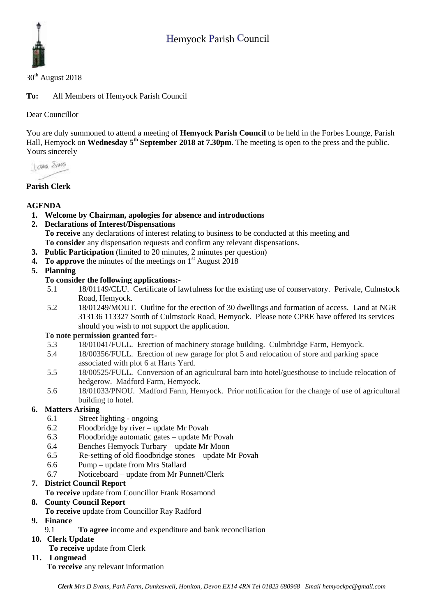# Hemyock Parish Council



 $30<sup>th</sup>$  August 2018

**To:** All Members of Hemyock Parish Council

Dear Councillor

You are duly summoned to attend a meeting of **Hemyock Parish Council** to be held in the Forbes Lounge, Parish Hall, Hemyock on Wednesday 5<sup>th</sup> September 2018 at 7.30pm. The meeting is open to the press and the public. Yours sincerely

I awa Shans

# **Parish Clerk**

## **AGENDA**

- **1. Welcome by Chairman, apologies for absence and introductions**
- **2. Declarations of Interest/Dispensations To receive** any declarations of interest relating to business to be conducted at this meeting and **To consider** any dispensation requests and confirm any relevant dispensations.
- **3. Public Participation** (limited to 20 minutes, 2 minutes per question)
- **4.** To approve the minutes of the meetings on 1<sup>st</sup> August 2018

## **5. Planning**

#### **To consider the following applications:-**

- 5.1 18/01149/CLU. Certificate of lawfulness for the existing use of conservatory. Perivale, Culmstock Road, Hemyock.
- 5.2 18/01249/MOUT. Outline for the erection of 30 dwellings and formation of access. Land at NGR 313136 113327 South of Culmstock Road, Hemyock. Please note CPRE have offered its services should you wish to not support the application.

#### **To note permission granted for:-**

- 5.3 18/01041/FULL. Erection of machinery storage building. Culmbridge Farm, Hemyock.
- 5.4 18/00356/FULL. Erection of new garage for plot 5 and relocation of store and parking space associated with plot 6 at Harts Yard.
- 5.5 18/00525/FULL. Conversion of an agricultural barn into hotel/guesthouse to include relocation of hedgerow. Madford Farm, Hemyock.
- 5.6 18/01033/PNOU. Madford Farm, Hemyock. Prior notification for the change of use of agricultural building to hotel.

#### **6. Matters Arising**

- 6.1 Street lighting ongoing
- 6.2 Floodbridge by river update Mr Povah
- 6.3 Floodbridge automatic gates update Mr Povah
- 6.4 Benches Hemyock Turbary update Mr Moon
- 6.5 Re-setting of old floodbridge stones update Mr Povah
- 6.6 Pump update from Mrs Stallard
- 6.7 Noticeboard update from Mr Punnett/Clerk

#### **7. District Council Report**

**To receive** update from Councillor Frank Rosamond

#### **8. County Council Report**

- **To receive** update from Councillor Ray Radford
- **9. Finance** 
	- 9.1 **To agree** income and expenditure and bank reconciliation
- **10. Clerk Update To receive** update from Clerk
- **11. Longmead**

**To receive** any relevant information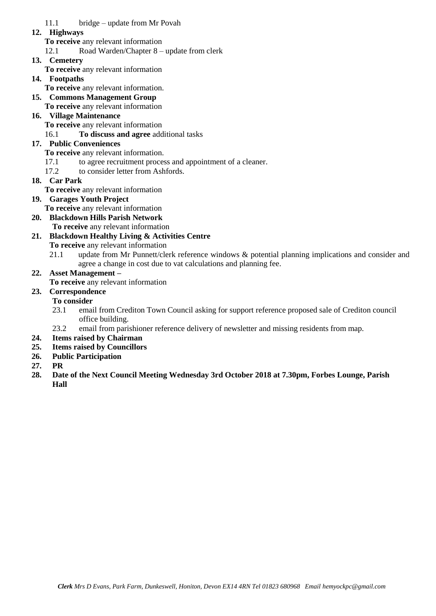11.1 bridge – update from Mr Povah

### **12. Highways**

**To receive** any relevant information 12.1 Road Warden/Chapter 8 – update from clerk

# **13. Cemetery**

- **To receive** any relevant information
- **14. Footpaths**
- **To receive** any relevant information.

# **15. Commons Management Group**

**To receive** any relevant information

# **16. Village Maintenance**

- **To receive** any relevant information
- 16.1 **To discuss and agree** additional tasks

# **17. Public Conveniences**

## **To receive** any relevant information.

- 17.1 to agree recruitment process and appointment of a cleaner.
- 17.2 to consider letter from Ashfords.
- **18. Car Park**
	- **To receive** any relevant information
- **19. Garages Youth Project** 
	- **To receive** any relevant information
- **20. Blackdown Hills Parish Network To receive** any relevant information

# **21. Blackdown Healthy Living & Activities Centre**

**To receive** any relevant information

21.1 update from Mr Punnett/clerk reference windows & potential planning implications and consider and agree a change in cost due to vat calculations and planning fee.

# **22. Asset Management –**

- **To receive** any relevant information
- **23. Correspondence**

# **To consider**

- 23.1 email from Crediton Town Council asking for support reference proposed sale of Crediton council office building.
- 23.2 email from parishioner reference delivery of newsletter and missing residents from map.
- **24. Items raised by Chairman**
- **25. Items raised by Councillors**
- **26. Public Participation**
- **27. PR**
- **28. Date of the Next Council Meeting Wednesday 3rd October 2018 at 7.30pm, Forbes Lounge, Parish Hall**